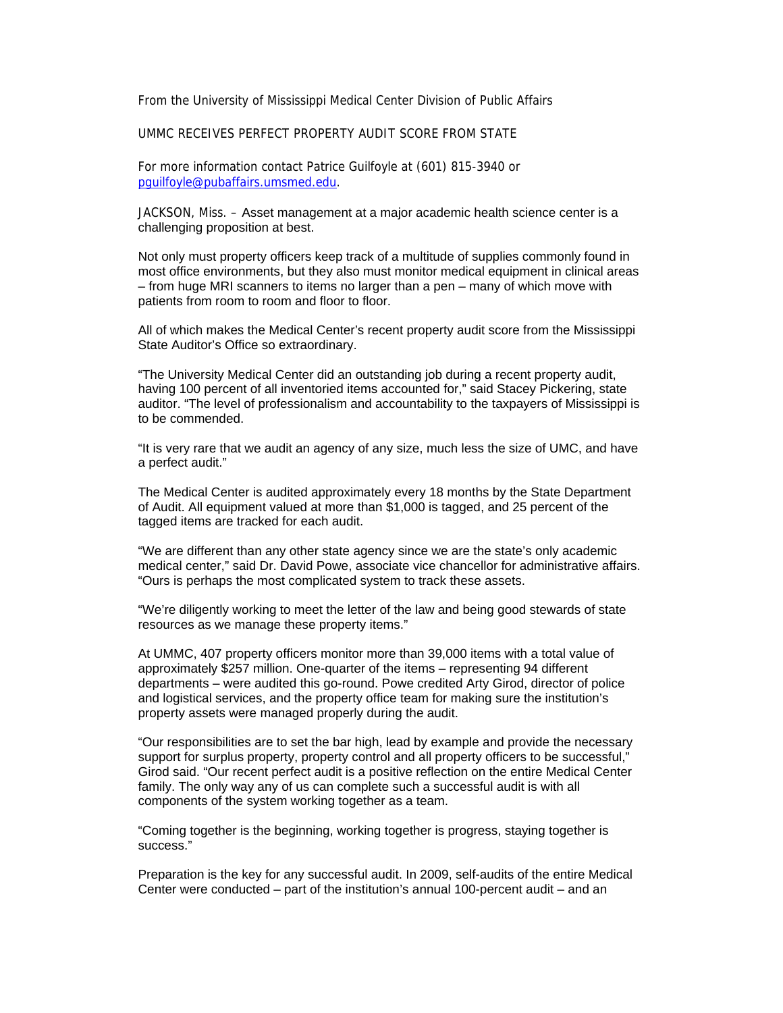From the University of Mississippi Medical Center Division of Public Affairs

UMMC RECEIVES PERFECT PROPERTY AUDIT SCORE FROM STATE

For more information contact Patrice Guilfoyle at (601) 815-3940 or pguilfoyle@pubaffairs.umsmed.edu.

JACKSON, Miss. – Asset management at a major academic health science center is a challenging proposition at best.

Not only must property officers keep track of a multitude of supplies commonly found in most office environments, but they also must monitor medical equipment in clinical areas – from huge MRI scanners to items no larger than a pen – many of which move with patients from room to room and floor to floor.

All of which makes the Medical Center's recent property audit score from the Mississippi State Auditor's Office so extraordinary.

"The University Medical Center did an outstanding job during a recent property audit, having 100 percent of all inventoried items accounted for," said Stacey Pickering, state auditor. "The level of professionalism and accountability to the taxpayers of Mississippi is to be commended.

"It is very rare that we audit an agency of any size, much less the size of UMC, and have a perfect audit."

The Medical Center is audited approximately every 18 months by the State Department of Audit. All equipment valued at more than \$1,000 is tagged, and 25 percent of the tagged items are tracked for each audit.

"We are different than any other state agency since we are the state's only academic medical center," said Dr. David Powe, associate vice chancellor for administrative affairs. "Ours is perhaps the most complicated system to track these assets.

"We're diligently working to meet the letter of the law and being good stewards of state resources as we manage these property items."

At UMMC, 407 property officers monitor more than 39,000 items with a total value of approximately \$257 million. One-quarter of the items – representing 94 different departments – were audited this go-round. Powe credited Arty Girod, director of police and logistical services, and the property office team for making sure the institution's property assets were managed properly during the audit.

"Our responsibilities are to set the bar high, lead by example and provide the necessary support for surplus property, property control and all property officers to be successful," Girod said. "Our recent perfect audit is a positive reflection on the entire Medical Center family. The only way any of us can complete such a successful audit is with all components of the system working together as a team.

"Coming together is the beginning, working together is progress, staying together is success."

Preparation is the key for any successful audit. In 2009, self-audits of the entire Medical Center were conducted – part of the institution's annual 100-percent audit – and an